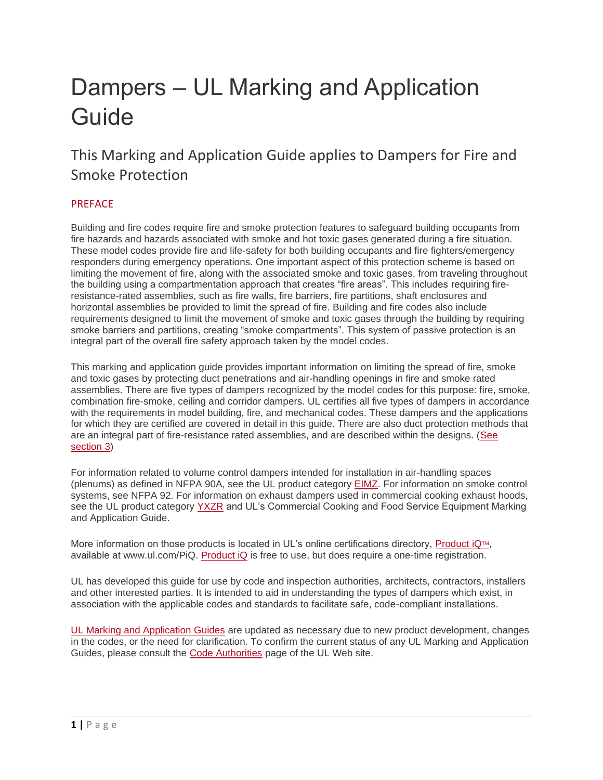# Dampers – UL Marking and Application Guide

This Marking and Application Guide applies to Dampers for Fire and Smoke Protection

# **PREFACE**

Building and fire codes require fire and smoke protection features to safeguard building occupants from fire hazards and hazards associated with smoke and hot toxic gases generated during a fire situation. These model codes provide fire and life-safety for both building occupants and fire fighters/emergency responders during emergency operations. One important aspect of this protection scheme is based on limiting the movement of fire, along with the associated smoke and toxic gases, from traveling throughout the building using a compartmentation approach that creates "fire areas". This includes requiring fireresistance-rated assemblies, such as fire walls, fire barriers, fire partitions, shaft enclosures and horizontal assemblies be provided to limit the spread of fire. Building and fire codes also include requirements designed to limit the movement of smoke and toxic gases through the building by requiring smoke barriers and partitions, creating "smoke compartments". This system of passive protection is an integral part of the overall fire safety approach taken by the model codes.

This marking and application guide provides important information on limiting the spread of fire, smoke and toxic gases by protecting duct penetrations and air-handling openings in fire and smoke rated assemblies. There are five types of dampers recognized by the model codes for this purpose: fire, smoke, combination fire-smoke, ceiling and corridor dampers. UL certifies all five types of dampers in accordance with the requirements in model building, fire, and mechanical codes. These dampers and the applications for which they are certified are covered in detail in this guide. There are also duct protection methods that are an integral part of fire-resistance rated assemblies, and are described within the designs. [\(See](https://code-authorities.ul.com/dampers-marking-and-application-guide/#ALTERNATE%20TYPES%20OF%20PROTECTION%20FOR%20DUCT%20OUTLETS)  [section 3\)](https://code-authorities.ul.com/dampers-marking-and-application-guide/#ALTERNATE%20TYPES%20OF%20PROTECTION%20FOR%20DUCT%20OUTLETS)

For information related to volume control dampers intended for installation in air-handling spaces (plenums) as defined in NFPA 90A, see the UL product category [EIMZ.](https://iq.ulprospector.com/en/profile?e=207461) For information on smoke control systems, see NFPA 92. For information on exhaust dampers used in commercial cooking exhaust hoods, see the UL product category [YXZR](https://iq.ulprospector.com/en/profile?e=212525) and UL's Commercial Cooking and Food Service Equipment Marking and Application Guide.

More information on those products is located in UL's online certifications directory, [Product iQ](http://www.ul.com/PiQ)<sup>[TM](http://www.ul.com/PiQ)</sup>, available at www.ul.com/PiQ. [Product iQ](http://www.ul.com/PiQ) is free to use, but does require a one-time registration.

UL has developed this guide for use by code and inspection authorities, architects, contractors, installers and other interested parties. It is intended to aid in understanding the types of dampers which exist, in association with the applicable codes and standards to facilitate safe, code-compliant installations.

[UL Marking and Application Guides](https://code-authorities.ul.com/about/inspection-resources-for-code-authorities/application-guides/) are updated as necessary due to new product development, changes in the codes, or the need for clarification. To confirm the current status of any UL Marking and Application Guides, please consult the [Code Authorities](http://www.ul.com/codeauthorities) page of the UL Web site.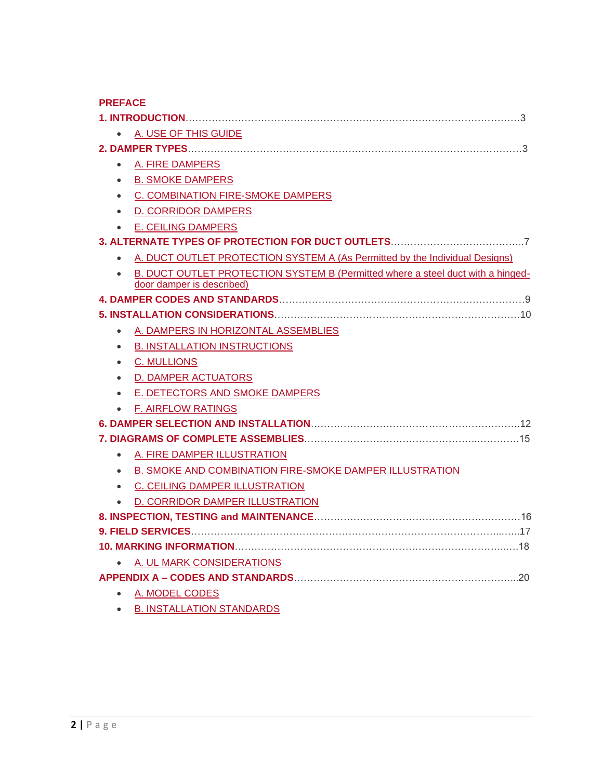| A. USE OF THIS GUIDE                                                                     |  |  |  |  |
|------------------------------------------------------------------------------------------|--|--|--|--|
|                                                                                          |  |  |  |  |
| A. FIRE DAMPERS<br>$\bullet$                                                             |  |  |  |  |
| <b>B. SMOKE DAMPERS</b><br>$\bullet$                                                     |  |  |  |  |
| C. COMBINATION FIRE-SMOKE DAMPERS<br>$\bullet$                                           |  |  |  |  |
| <b>D. CORRIDOR DAMPERS</b><br>$\bullet$                                                  |  |  |  |  |
| <b>E. CEILING DAMPERS</b><br>$\bullet$                                                   |  |  |  |  |
|                                                                                          |  |  |  |  |
| A. DUCT OUTLET PROTECTION SYSTEM A (As Permitted by the Individual Designs)<br>$\bullet$ |  |  |  |  |
| B. DUCT OUTLET PROTECTION SYSTEM B (Permitted where a steel duct with a hinged-          |  |  |  |  |
| door damper is described)                                                                |  |  |  |  |
|                                                                                          |  |  |  |  |
|                                                                                          |  |  |  |  |
| A. DAMPERS IN HORIZONTAL ASSEMBLIES                                                      |  |  |  |  |
| <b>B. INSTALLATION INSTRUCTIONS</b><br>$\bullet$                                         |  |  |  |  |
| <b>C. MULLIONS</b><br>$\bullet$                                                          |  |  |  |  |
| • D. DAMPER ACTUATORS                                                                    |  |  |  |  |
| • E. DETECTORS AND SMOKE DAMPERS                                                         |  |  |  |  |
| <b>F. AIRFLOW RATINGS</b><br>$\bullet$                                                   |  |  |  |  |
|                                                                                          |  |  |  |  |
|                                                                                          |  |  |  |  |
| A. FIRE DAMPER ILLUSTRATION                                                              |  |  |  |  |
| B. SMOKE AND COMBINATION FIRE-SMOKE DAMPER ILLUSTRATION<br>$\bullet$                     |  |  |  |  |
| • C. CEILING DAMPER ILLUSTRATION                                                         |  |  |  |  |
| D. CORRIDOR DAMPER ILLUSTRATION<br>$\bullet$                                             |  |  |  |  |
|                                                                                          |  |  |  |  |
|                                                                                          |  |  |  |  |
|                                                                                          |  |  |  |  |
| A. UL MARK CONSIDERATIONS                                                                |  |  |  |  |
|                                                                                          |  |  |  |  |
| • A. MODEL CODES                                                                         |  |  |  |  |
| <b>B. INSTALLATION STANDARDS</b>                                                         |  |  |  |  |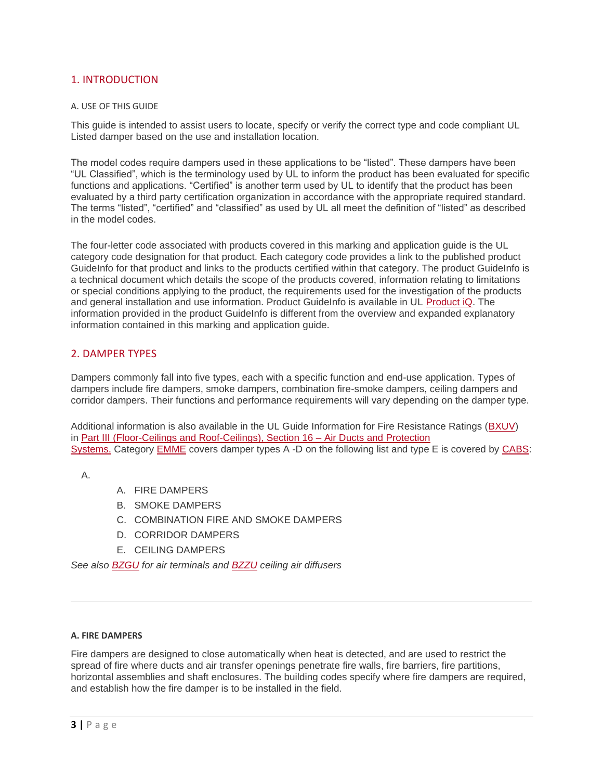# 1. INTRODUCTION

#### A. USE OF THIS GUIDE

This guide is intended to assist users to locate, specify or verify the correct type and code compliant UL Listed damper based on the use and installation location.

The model codes require dampers used in these applications to be "listed". These dampers have been "UL Classified", which is the terminology used by UL to inform the product has been evaluated for specific functions and applications. "Certified" is another term used by UL to identify that the product has been evaluated by a third party certification organization in accordance with the appropriate required standard. The terms "listed", "certified" and "classified" as used by UL all meet the definition of "listed" as described in the model codes.

The four-letter code associated with products covered in this marking and application guide is the UL category code designation for that product. Each category code provides a link to the published product GuideInfo for that product and links to the products certified within that category. The product GuideInfo is a technical document which details the scope of the products covered, information relating to limitations or special conditions applying to the product, the requirements used for the investigation of the products and general installation and use information. Product GuideInfo is available in UL [Product iQ.](http://www.ul.com/PiQ) The information provided in the product GuideInfo is different from the overview and expanded explanatory information contained in this marking and application guide.

#### 2. DAMPER TYPES

Dampers commonly fall into five types, each with a specific function and end-use application. Types of dampers include fire dampers, smoke dampers, combination fire-smoke dampers, ceiling dampers and corridor dampers. Their functions and performance requirements will vary depending on the damper type.

Additional information is also available in the UL Guide Information for Fire Resistance Ratings [\(BXUV\)](https://iq.ulprospector.com/en/profile?e=206790) in [Part III \(Floor-Ceilings and Roof-Ceilings\), Section 16 –](https://iq.ulprospector.com/en/profile?e=206790#SectionIIIitem16) Air Ducts and Protection [Systems.](https://iq.ulprospector.com/en/profile?e=206790#SectionIIIitem16) Category [EMME](https://iq.ulprospector.com/en/profile?e=207497) covers damper types A -D on the following list and type E is covered by [CABS:](https://iq.ulprospector.com/en/profile?e=206814)

A.

- A. FIRE DAMPERS
- B. SMOKE DAMPERS
- C. COMBINATION FIRE AND SMOKE DAMPERS
- D. CORRIDOR DAMPERS
- E. CEILING DAMPERS

*See also [BZGU](https://iq.ulprospector.com/en/profile?e=206802) for air terminals and [BZZU](https://iq.ulprospector.com/en/profile?e=206813) ceiling air diffusers*

#### **A. FIRE DAMPERS**

Fire dampers are designed to close automatically when heat is detected, and are used to restrict the spread of fire where ducts and air transfer openings penetrate fire walls, fire barriers, fire partitions, horizontal assemblies and shaft enclosures. The building codes specify where fire dampers are required, and establish how the fire damper is to be installed in the field.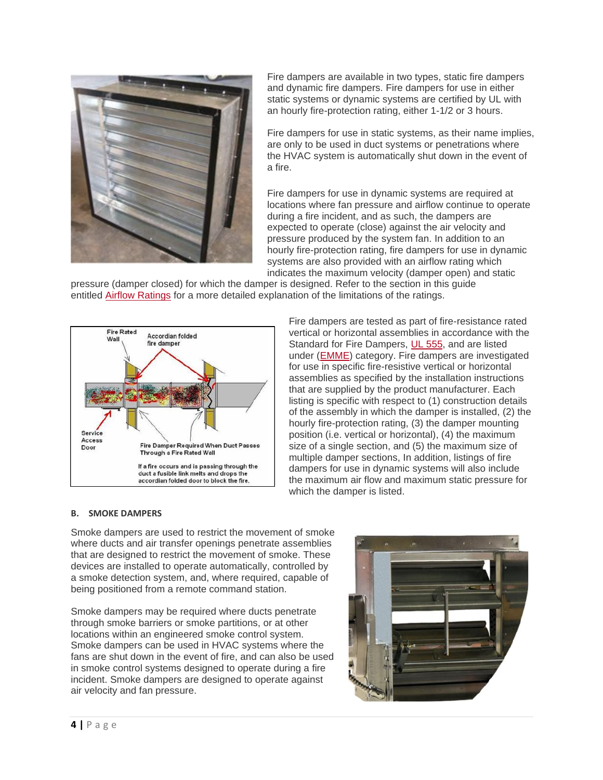

Fire dampers are available in two types, static fire dampers and dynamic fire dampers. Fire dampers for use in either static systems or dynamic systems are certified by UL with an hourly fire-protection rating, either 1-1/2 or 3 hours.

Fire dampers for use in static systems, as their name implies, are only to be used in duct systems or penetrations where the HVAC system is automatically shut down in the event of a fire.

Fire dampers for use in dynamic systems are required at locations where fan pressure and airflow continue to operate during a fire incident, and as such, the dampers are expected to operate (close) against the air velocity and pressure produced by the system fan. In addition to an hourly fire-protection rating, fire dampers for use in dynamic systems are also provided with an airflow rating which indicates the maximum velocity (damper open) and static

pressure (damper closed) for which the damper is designed. Refer to the section in this guide entitled [Airflow Ratings](https://code-authorities.ul.com/dampers-marking-and-application-guide/#AIRFLOW%20RATINGS) for a more detailed explanation of the limitations of the ratings.



Fire dampers are tested as part of fire-resistance rated vertical or horizontal assemblies in accordance with the Standard for Fire Dampers, [UL 555,](https://www.shopulstandards.com/ProductDetail.aspx?productId=UL555_7_S_20060712) and are listed under [\(EMME\)](https://iq.ulprospector.com/en/profile?e=207497) category. Fire dampers are investigated for use in specific fire-resistive vertical or horizontal assemblies as specified by the installation instructions that are supplied by the product manufacturer. Each listing is specific with respect to (1) construction details of the assembly in which the damper is installed, (2) the hourly fire-protection rating, (3) the damper mounting position (i.e. vertical or horizontal), (4) the maximum size of a single section, and (5) the maximum size of multiple damper sections, In addition, listings of fire dampers for use in dynamic systems will also include the maximum air flow and maximum static pressure for which the damper is listed.

#### **B. SMOKE DAMPERS**

Smoke dampers are used to restrict the movement of smoke where ducts and air transfer openings penetrate assemblies that are designed to restrict the movement of smoke. These devices are installed to operate automatically, controlled by a smoke detection system, and, where required, capable of being positioned from a remote command station.

Smoke dampers may be required where ducts penetrate through smoke barriers or smoke partitions, or at other locations within an engineered smoke control system. Smoke dampers can be used in HVAC systems where the fans are shut down in the event of fire, and can also be used in smoke control systems designed to operate during a fire incident. Smoke dampers are designed to operate against air velocity and fan pressure.

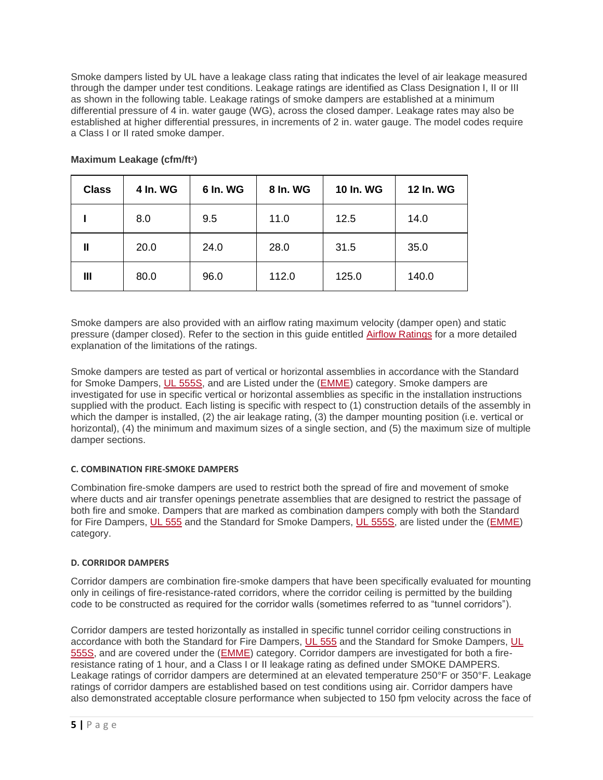Smoke dampers listed by UL have a leakage class rating that indicates the level of air leakage measured through the damper under test conditions. Leakage ratings are identified as Class Designation I, II or III as shown in the following table. Leakage ratings of smoke dampers are established at a minimum differential pressure of 4 in. water gauge (WG), across the closed damper. Leakage rates may also be established at higher differential pressures, in increments of 2 in. water gauge. The model codes require a Class I or II rated smoke damper.

| <b>Class</b>   | 4 In. WG | 6 In. WG | 8 In. WG | 10 In. WG | 12 In. WG |
|----------------|----------|----------|----------|-----------|-----------|
|                | 8.0      | 9.5      | 11.0     | 12.5      | 14.0      |
| Ш              | 20.0     | 24.0     | 28.0     | 31.5      | 35.0      |
| $\mathbf{III}$ | 80.0     | 96.0     | 112.0    | 125.0     | 140.0     |

# **Maximum Leakage (cfm/ft<sup>2</sup> )**

Smoke dampers are also provided with an airflow rating maximum velocity (damper open) and static pressure (damper closed). Refer to the section in this guide entitled [Airflow Ratings](https://code-authorities.ul.com/dampers-marking-and-application-guide/#AIRFLOW%20RATINGS) for a more detailed explanation of the limitations of the ratings.

Smoke dampers are tested as part of vertical or horizontal assemblies in accordance with the Standard for Smoke Dampers, [UL 555S,](https://www.shopulstandards.com/ProductDetail.aspx?productId=UL555S_5_S_20140213) and are Listed under the [\(EMME\)](https://iq.ulprospector.com/en/profile?e=207497) category. Smoke dampers are investigated for use in specific vertical or horizontal assemblies as specific in the installation instructions supplied with the product. Each listing is specific with respect to (1) construction details of the assembly in which the damper is installed, (2) the air leakage rating, (3) the damper mounting position (i.e. vertical or horizontal), (4) the minimum and maximum sizes of a single section, and (5) the maximum size of multiple damper sections.

# **C. COMBINATION FIRE-SMOKE DAMPERS**

Combination fire-smoke dampers are used to restrict both the spread of fire and movement of smoke where ducts and air transfer openings penetrate assemblies that are designed to restrict the passage of both fire and smoke. Dampers that are marked as combination dampers comply with both the Standard for Fire Dampers, [UL 555](https://www.shopulstandards.com/ProductDetail.aspx?productId=UL555_7_S_20060712) and the Standard for Smoke Dampers, [UL 555S,](https://www.shopulstandards.com/ProductDetail.aspx?productId=UL555S_5_S_20140213) are listed under the [\(EMME\)](https://iq.ulprospector.com/en/profile?e=207497) category.

# **D. CORRIDOR DAMPERS**

Corridor dampers are combination fire-smoke dampers that have been specifically evaluated for mounting only in ceilings of fire-resistance-rated corridors, where the corridor ceiling is permitted by the building code to be constructed as required for the corridor walls (sometimes referred to as "tunnel corridors").

Corridor dampers are tested horizontally as installed in specific tunnel corridor ceiling constructions in accordance with both the Standard for Fire Dampers, [UL 555](https://www.shopulstandards.com/ProductDetail.aspx?productId=UL555_7_S_20060712) and the Standard for Smoke Dampers, [UL](https://www.shopulstandards.com/ProductDetail.aspx?productId=UL555S_5_S_20140213)  [555S,](https://www.shopulstandards.com/ProductDetail.aspx?productId=UL555S_5_S_20140213) and are covered under the [\(EMME\)](https://iq.ulprospector.com/en/profile?e=207497) category. Corridor dampers are investigated for both a fireresistance rating of 1 hour, and a Class I or II leakage rating as defined under SMOKE DAMPERS. Leakage ratings of corridor dampers are determined at an elevated temperature 250°F or 350°F. Leakage ratings of corridor dampers are established based on test conditions using air. Corridor dampers have also demonstrated acceptable closure performance when subjected to 150 fpm velocity across the face of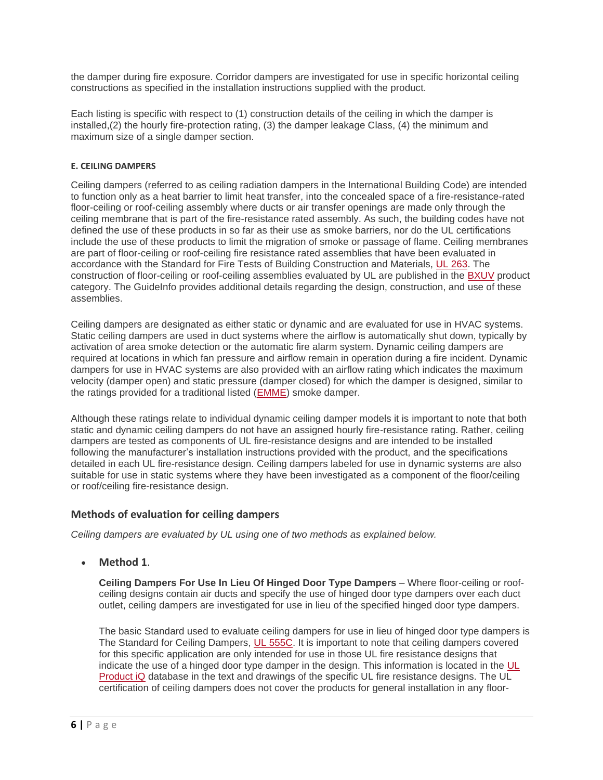the damper during fire exposure. Corridor dampers are investigated for use in specific horizontal ceiling constructions as specified in the installation instructions supplied with the product.

Each listing is specific with respect to (1) construction details of the ceiling in which the damper is installed,(2) the hourly fire-protection rating, (3) the damper leakage Class, (4) the minimum and maximum size of a single damper section.

#### **E. CEILING DAMPERS**

Ceiling dampers (referred to as ceiling radiation dampers in the International Building Code) are intended to function only as a heat barrier to limit heat transfer, into the concealed space of a fire-resistance-rated floor-ceiling or roof-ceiling assembly where ducts or air transfer openings are made only through the ceiling membrane that is part of the fire-resistance rated assembly. As such, the building codes have not defined the use of these products in so far as their use as smoke barriers, nor do the UL certifications include the use of these products to limit the migration of smoke or passage of flame. Ceiling membranes are part of floor-ceiling or roof-ceiling fire resistance rated assemblies that have been evaluated in accordance with the Standard for Fire Tests of Building Construction and Materials, [UL 263.](http://ulstandards.ul.com/standard/?id=263&edition=14&doctype=ulstd) The construction of floor-ceiling or roof-ceiling assemblies evaluated by UL are published in the [BXUV](https://iq.ulprospector.com/en/profile?e=206790) product category. The GuideInfo provides additional details regarding the design, construction, and use of these assemblies.

Ceiling dampers are designated as either static or dynamic and are evaluated for use in HVAC systems. Static ceiling dampers are used in duct systems where the airflow is automatically shut down, typically by activation of area smoke detection or the automatic fire alarm system. Dynamic ceiling dampers are required at locations in which fan pressure and airflow remain in operation during a fire incident. Dynamic dampers for use in HVAC systems are also provided with an airflow rating which indicates the maximum velocity (damper open) and static pressure (damper closed) for which the damper is designed, similar to the ratings provided for a traditional listed [\(EMME\)](https://iq.ulprospector.com/en/profile?e=207497) smoke damper.

Although these ratings relate to individual dynamic ceiling damper models it is important to note that both static and dynamic ceiling dampers do not have an assigned hourly fire-resistance rating. Rather, ceiling dampers are tested as components of UL fire-resistance designs and are intended to be installed following the manufacturer's installation instructions provided with the product, and the specifications detailed in each UL fire-resistance design. Ceiling dampers labeled for use in dynamic systems are also suitable for use in static systems where they have been investigated as a component of the floor/ceiling or roof/ceiling fire-resistance design.

# **Methods of evaluation for ceiling dampers**

*Ceiling dampers are evaluated by UL using one of two methods as explained below.*

• **Method 1**.

**Ceiling Dampers For Use In Lieu Of Hinged Door Type Dampers** – Where floor-ceiling or roofceiling designs contain air ducts and specify the use of hinged door type dampers over each duct outlet, ceiling dampers are investigated for use in lieu of the specified hinged door type dampers.

The basic Standard used to evaluate ceiling dampers for use in lieu of hinged door type dampers is The Standard for Ceiling Dampers, [UL 555C.](https://www.shopulstandards.com/ProductDetail.aspx?productId=UL555C_4_S_20141216) It is important to note that ceiling dampers covered for this specific application are only intended for use in those UL fire resistance designs that indicate the use of a hinged door type damper in the design. This information is located in the [UL](http://www.ul.com/piq)  [Product iQ](http://www.ul.com/piq) database in the text and drawings of the specific UL fire resistance designs. The UL certification of ceiling dampers does not cover the products for general installation in any floor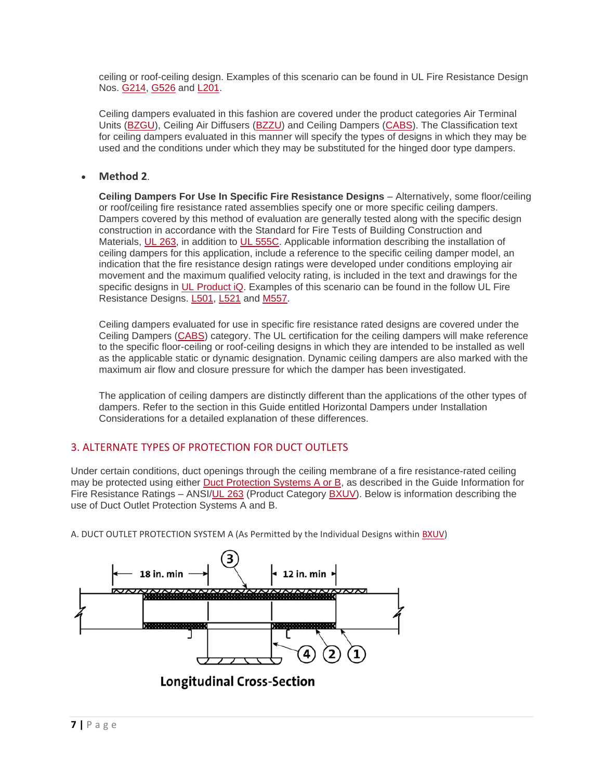ceiling or roof-ceiling design. Examples of this scenario can be found in UL Fire Resistance Design Nos. [G214,](https://iq.ulprospector.com/en/_?p=10005,10048,10006,10047&qm=q:g214) [G526](https://iq.ulprospector.com/en/profile?e=14031) and [L201.](https://iq.ulprospector.com/en/profile?e=14248)

Ceiling dampers evaluated in this fashion are covered under the product categories Air Terminal Units [\(BZGU\)](https://iq.ulprospector.com/en/profile?e=206802), Ceiling Air Diffusers [\(BZZU\)](https://iq.ulprospector.com/en/profile?e=206813) and Ceiling Dampers [\(CABS\)](https://iq.ulprospector.com/en/profile?e=206814). The Classification text for ceiling dampers evaluated in this manner will specify the types of designs in which they may be used and the conditions under which they may be substituted for the hinged door type dampers.

# • **Method 2**.

**Ceiling Dampers For Use In Specific Fire Resistance Designs** – Alternatively, some floor/ceiling or roof/ceiling fire resistance rated assemblies specify one or more specific ceiling dampers. Dampers covered by this method of evaluation are generally tested along with the specific design construction in accordance with the Standard for Fire Tests of Building Construction and Materials, [UL 263,](http://ulstandards.ul.com/standard/?id=263&edition=14&doctype=ulstd) in addition to [UL 555C.](https://www.shopulstandards.com/ProductDetail.aspx?productId=UL555C_4_S_20141216) Applicable information describing the installation of ceiling dampers for this application, include a reference to the specific ceiling damper model, an indication that the fire resistance design ratings were developed under conditions employing air movement and the maximum qualified velocity rating, is included in the text and drawings for the specific designs in [UL Product iQ.](http://www.ul.com/piq) Examples of this scenario can be found in the follow UL Fire Resistance Designs. [L501,](https://iq.ulprospector.com/en/profile?e=14256) [L521](https://iq.ulprospector.com/en/profile?e=14276) and [M557.](https://iq.ulprospector.com/en/profile?e=964474)

Ceiling dampers evaluated for use in specific fire resistance rated designs are covered under the Ceiling Dampers [\(CABS\)](https://iq.ulprospector.com/en/profile?e=206814) category. The UL certification for the ceiling dampers will make reference to the specific floor-ceiling or roof-ceiling designs in which they are intended to be installed as well as the applicable static or dynamic designation. Dynamic ceiling dampers are also marked with the maximum air flow and closure pressure for which the damper has been investigated.

The application of ceiling dampers are distinctly different than the applications of the other types of dampers. Refer to the section in this Guide entitled Horizontal Dampers under Installation Considerations for a detailed explanation of these differences.

# 3. ALTERNATE TYPES OF PROTECTION FOR DUCT OUTLETS

Under certain conditions, duct openings through the ceiling membrane of a fire resistance-rated ceiling may be protected using either [Duct Protection Systems A or B,](https://iq.ulprospector.com/en/profile?e=206790#SectionIIIitem16) as described in the Guide Information for Fire Resistance Ratings – ANSI[/UL 263](http://ulstandards.ul.com/standard/?id=263&edition=14&doctype=ulstd) (Product Category [BXUV\)](https://iq.ulprospector.com/en/profile?e=206790). Below is information describing the use of Duct Outlet Protection Systems A and B.

A. DUCT OUTLET PROTECTION SYSTEM A (As Permitted by the Individual Designs within [BXUV\)](https://iq.ulprospector.com/en/profile?e=206790)

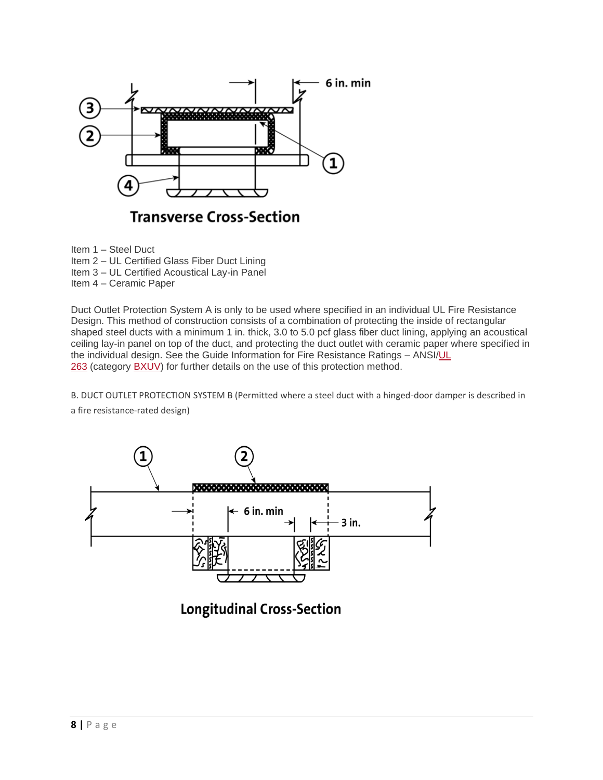

**Transverse Cross-Section** 

Item 1 – Steel Duct

- Item 2 UL Certified Glass Fiber Duct Lining
- Item 3 UL Certified Acoustical Lay-in Panel
- Item 4 Ceramic Paper

Duct Outlet Protection System A is only to be used where specified in an individual UL Fire Resistance Design. This method of construction consists of a combination of protecting the inside of rectangular shaped steel ducts with a minimum 1 in. thick, 3.0 to 5.0 pcf glass fiber duct lining, applying an acoustical ceiling lay-in panel on top of the duct, and protecting the duct outlet with ceramic paper where specified in the individual design. See the Guide Information for Fire Resistance Ratings - ANSI/UL [263](http://ulstandards.ul.com/standard/?id=263&edition=14&doctype=ulstd) (category [BXUV\)](https://iq.ulprospector.com/en/profile?e=206790) for further details on the use of this protection method.

B. DUCT OUTLET PROTECTION SYSTEM B (Permitted where a steel duct with a hinged-door damper is described in a fire resistance-rated design)



**Longitudinal Cross-Section**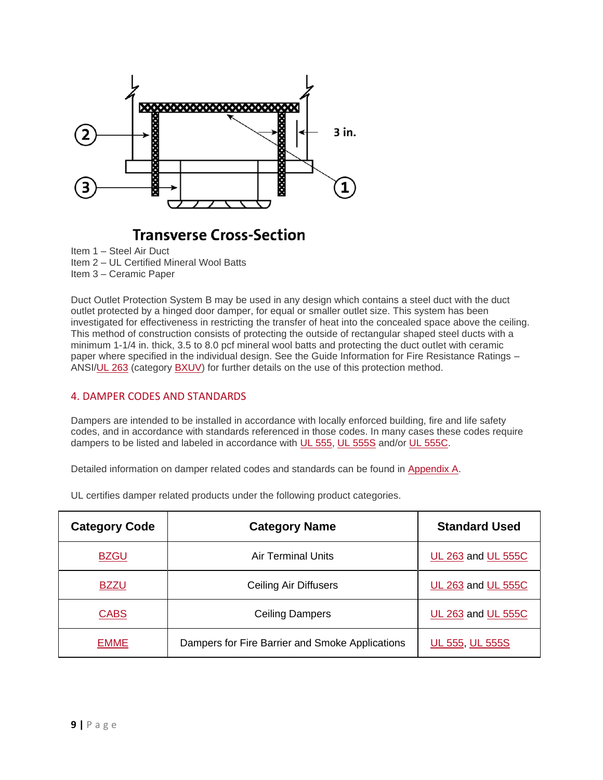

# **Transverse Cross-Section**

Item 1 – Steel Air Duct

Item 2 – UL Certified Mineral Wool Batts

Item 3 – Ceramic Paper

Duct Outlet Protection System B may be used in any design which contains a steel duct with the duct outlet protected by a hinged door damper, for equal or smaller outlet size. This system has been investigated for effectiveness in restricting the transfer of heat into the concealed space above the ceiling. This method of construction consists of protecting the outside of rectangular shaped steel ducts with a minimum 1-1/4 in. thick, 3.5 to 8.0 pcf mineral wool batts and protecting the duct outlet with ceramic paper where specified in the individual design. See the Guide Information for Fire Resistance Ratings – ANSI[/UL 263](http://ulstandards.ul.com/standard/?id=263&edition=14&doctype=ulstd) (category [BXUV\)](https://iq.ulprospector.com/en/profile?e=206790) for further details on the use of this protection method.

# 4. DAMPER CODES AND STANDARDS

Dampers are intended to be installed in accordance with locally enforced building, fire and life safety codes, and in accordance with standards referenced in those codes. In many cases these codes require dampers to be listed and labeled in accordance with [UL 555,](https://www.shopulstandards.com/ProductDetail.aspx?productId=UL555_7_S_20060712) [UL 555S](https://www.shopulstandards.com/ProductDetail.aspx?productId=UL555S_5_S_20140213) and/or [UL 555C.](https://www.shopulstandards.com/ProductDetail.aspx?productId=UL555C_4_S_20141216)

Detailed information on damper related codes and standards can be found in [Appendix A.](https://code-authorities.ul.com/dampers-marking-and-application-guide/#APPENDIX%20A)

| <b>Category Code</b> | <b>Category Name</b>                            | <b>Standard Used</b> |
|----------------------|-------------------------------------------------|----------------------|
| <b>BZGU</b>          | <b>Air Terminal Units</b>                       | UL 263 and UL 555C   |
| <b>BZZU</b>          | Ceiling Air Diffusers                           | UL 263 and UL 555C   |
| <b>CABS</b>          | <b>Ceiling Dampers</b>                          | UL 263 and UL 555C   |
| <b>EMME</b>          | Dampers for Fire Barrier and Smoke Applications | UL 555, UL 555S      |

UL certifies damper related products under the following product categories.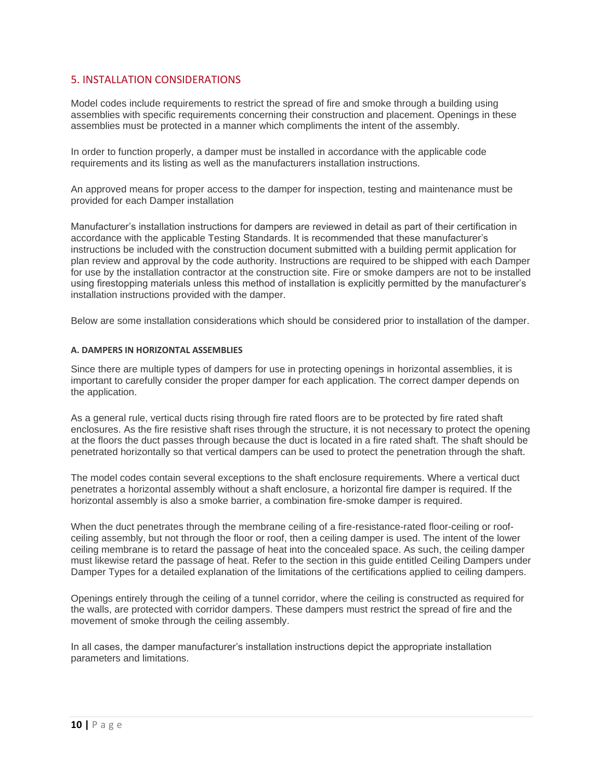# 5. INSTALLATION CONSIDERATIONS

Model codes include requirements to restrict the spread of fire and smoke through a building using assemblies with specific requirements concerning their construction and placement. Openings in these assemblies must be protected in a manner which compliments the intent of the assembly.

In order to function properly, a damper must be installed in accordance with the applicable code requirements and its listing as well as the manufacturers installation instructions.

An approved means for proper access to the damper for inspection, testing and maintenance must be provided for each Damper installation

Manufacturer's installation instructions for dampers are reviewed in detail as part of their certification in accordance with the applicable Testing Standards. It is recommended that these manufacturer's instructions be included with the construction document submitted with a building permit application for plan review and approval by the code authority. Instructions are required to be shipped with each Damper for use by the installation contractor at the construction site. Fire or smoke dampers are not to be installed using firestopping materials unless this method of installation is explicitly permitted by the manufacturer's installation instructions provided with the damper.

Below are some installation considerations which should be considered prior to installation of the damper.

#### **A. DAMPERS IN HORIZONTAL ASSEMBLIES**

Since there are multiple types of dampers for use in protecting openings in horizontal assemblies, it is important to carefully consider the proper damper for each application. The correct damper depends on the application.

As a general rule, vertical ducts rising through fire rated floors are to be protected by fire rated shaft enclosures. As the fire resistive shaft rises through the structure, it is not necessary to protect the opening at the floors the duct passes through because the duct is located in a fire rated shaft. The shaft should be penetrated horizontally so that vertical dampers can be used to protect the penetration through the shaft.

The model codes contain several exceptions to the shaft enclosure requirements. Where a vertical duct penetrates a horizontal assembly without a shaft enclosure, a horizontal fire damper is required. If the horizontal assembly is also a smoke barrier, a combination fire-smoke damper is required.

When the duct penetrates through the membrane ceiling of a fire-resistance-rated floor-ceiling or roofceiling assembly, but not through the floor or roof, then a ceiling damper is used. The intent of the lower ceiling membrane is to retard the passage of heat into the concealed space. As such, the ceiling damper must likewise retard the passage of heat. Refer to the section in this guide entitled Ceiling Dampers under Damper Types for a detailed explanation of the limitations of the certifications applied to ceiling dampers.

Openings entirely through the ceiling of a tunnel corridor, where the ceiling is constructed as required for the walls, are protected with corridor dampers. These dampers must restrict the spread of fire and the movement of smoke through the ceiling assembly.

In all cases, the damper manufacturer's installation instructions depict the appropriate installation parameters and limitations.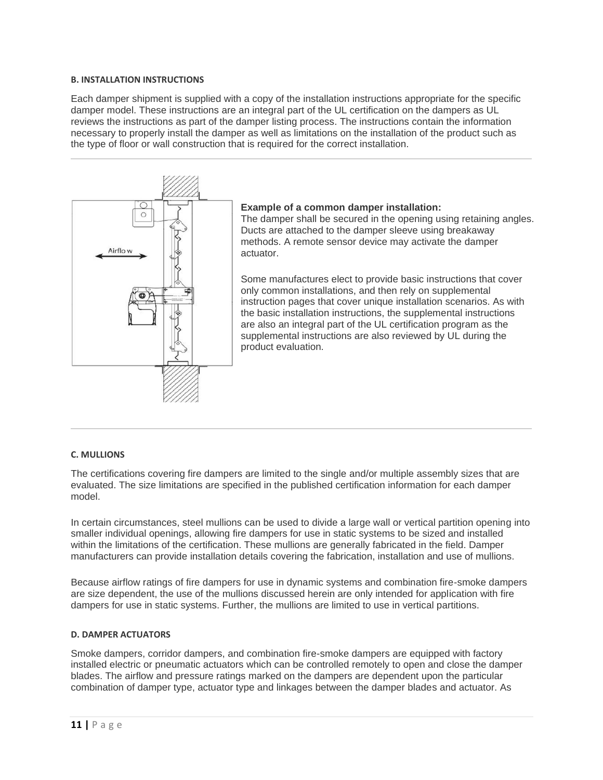#### **B. INSTALLATION INSTRUCTIONS**

Each damper shipment is supplied with a copy of the installation instructions appropriate for the specific damper model. These instructions are an integral part of the UL certification on the dampers as UL reviews the instructions as part of the damper listing process. The instructions contain the information necessary to properly install the damper as well as limitations on the installation of the product such as the type of floor or wall construction that is required for the correct installation.



#### **Example of a common damper installation:**

The damper shall be secured in the opening using retaining angles. Ducts are attached to the damper sleeve using breakaway methods. A remote sensor device may activate the damper actuator.

Some manufactures elect to provide basic instructions that cover only common installations, and then rely on supplemental instruction pages that cover unique installation scenarios. As with the basic installation instructions, the supplemental instructions are also an integral part of the UL certification program as the supplemental instructions are also reviewed by UL during the product evaluation.

#### **C. MULLIONS**

The certifications covering fire dampers are limited to the single and/or multiple assembly sizes that are evaluated. The size limitations are specified in the published certification information for each damper model.

In certain circumstances, steel mullions can be used to divide a large wall or vertical partition opening into smaller individual openings, allowing fire dampers for use in static systems to be sized and installed within the limitations of the certification. These mullions are generally fabricated in the field. Damper manufacturers can provide installation details covering the fabrication, installation and use of mullions.

Because airflow ratings of fire dampers for use in dynamic systems and combination fire-smoke dampers are size dependent, the use of the mullions discussed herein are only intended for application with fire dampers for use in static systems. Further, the mullions are limited to use in vertical partitions.

#### **D. DAMPER ACTUATORS**

Smoke dampers, corridor dampers, and combination fire-smoke dampers are equipped with factory installed electric or pneumatic actuators which can be controlled remotely to open and close the damper blades. The airflow and pressure ratings marked on the dampers are dependent upon the particular combination of damper type, actuator type and linkages between the damper blades and actuator. As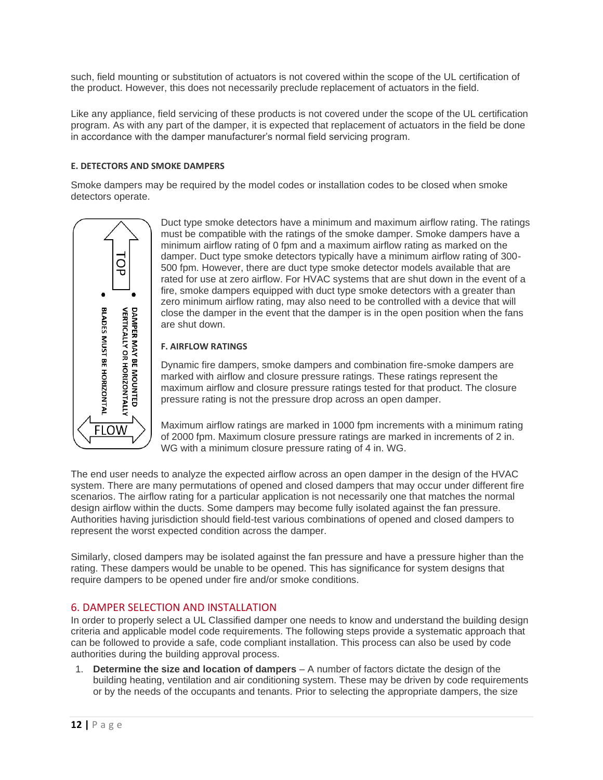such, field mounting or substitution of actuators is not covered within the scope of the UL certification of the product. However, this does not necessarily preclude replacement of actuators in the field.

Like any appliance, field servicing of these products is not covered under the scope of the UL certification program. As with any part of the damper, it is expected that replacement of actuators in the field be done in accordance with the damper manufacturer's normal field servicing program.

# **E. DETECTORS AND SMOKE DAMPERS**

Smoke dampers may be required by the model codes or installation codes to be closed when smoke detectors operate.



Duct type smoke detectors have a minimum and maximum airflow rating. The ratings must be compatible with the ratings of the smoke damper. Smoke dampers have a minimum airflow rating of 0 fpm and a maximum airflow rating as marked on the damper. Duct type smoke detectors typically have a minimum airflow rating of 300- 500 fpm. However, there are duct type smoke detector models available that are rated for use at zero airflow. For HVAC systems that are shut down in the event of a fire, smoke dampers equipped with duct type smoke detectors with a greater than zero minimum airflow rating, may also need to be controlled with a device that will close the damper in the event that the damper is in the open position when the fans are shut down.

#### **F. AIRFLOW RATINGS**

Dynamic fire dampers, smoke dampers and combination fire-smoke dampers are marked with airflow and closure pressure ratings. These ratings represent the maximum airflow and closure pressure ratings tested for that product. The closure pressure rating is not the pressure drop across an open damper.

Maximum airflow ratings are marked in 1000 fpm increments with a minimum rating of 2000 fpm. Maximum closure pressure ratings are marked in increments of 2 in. WG with a minimum closure pressure rating of 4 in. WG.

The end user needs to analyze the expected airflow across an open damper in the design of the HVAC system. There are many permutations of opened and closed dampers that may occur under different fire scenarios. The airflow rating for a particular application is not necessarily one that matches the normal design airflow within the ducts. Some dampers may become fully isolated against the fan pressure. Authorities having jurisdiction should field-test various combinations of opened and closed dampers to represent the worst expected condition across the damper.

Similarly, closed dampers may be isolated against the fan pressure and have a pressure higher than the rating. These dampers would be unable to be opened. This has significance for system designs that require dampers to be opened under fire and/or smoke conditions.

# 6. DAMPER SELECTION AND INSTALLATION

In order to properly select a UL Classified damper one needs to know and understand the building design criteria and applicable model code requirements. The following steps provide a systematic approach that can be followed to provide a safe, code compliant installation. This process can also be used by code authorities during the building approval process.

1. **Determine the size and location of dampers** – A number of factors dictate the design of the building heating, ventilation and air conditioning system. These may be driven by code requirements or by the needs of the occupants and tenants. Prior to selecting the appropriate dampers, the size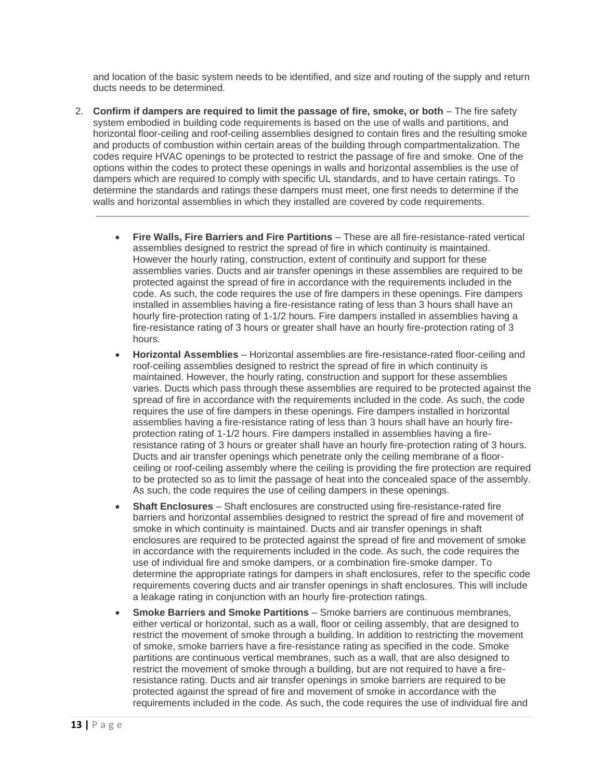and location of the basic system needs to be identified, and size and routing of the supply and return ducts needs to be determined.

- 2. **Confirm if dampers are required to limit the passage of fire, smoke, or both** The fire safety system embodied in building code requirements is based on the use of walls and partitions, and horizontal floor-ceiling and roof-ceiling assemblies designed to contain fires and the resulting smoke and products of combustion within certain areas of the building through compartmentalization. The codes require HVAC openings to be protected to restrict the passage of fire and smoke. One of the options within the codes to protect these openings in walls and horizontal assemblies is the use of dampers which are required to comply with specific UL standards, and to have certain ratings. To determine the standards and ratings these dampers must meet, one first needs to determine if the walls and horizontal assemblies in which they installed are covered by code requirements.
	- **Fire Walls, Fire Barriers and Fire Partitions** These are all fire-resistance-rated vertical assemblies designed to restrict the spread of fire in which continuity is maintained. However the hourly rating, construction, extent of continuity and support for these assemblies varies. Ducts and air transfer openings in these assemblies are required to be protected against the spread of fire in accordance with the requirements included in the code. As such, the code requires the use of fire dampers in these openings. Fire dampers installed in assemblies having a fire-resistance rating of less than 3 hours shall have an hourly fire-protection rating of 1-1/2 hours. Fire dampers installed in assemblies having a fire-resistance rating of 3 hours or greater shall have an hourly fire-protection rating of 3 hours.
	- **Horizontal Assemblies** Horizontal assemblies are fire-resistance-rated floor-ceiling and roof-ceiling assemblies designed to restrict the spread of fire in which continuity is maintained. However, the hourly rating, construction and support for these assemblies varies. Ducts which pass through these assemblies are required to be protected against the spread of fire in accordance with the requirements included in the code. As such, the code requires the use of fire dampers in these openings. Fire dampers installed in horizontal assemblies having a fire-resistance rating of less than 3 hours shall have an hourly fireprotection rating of 1-1/2 hours. Fire dampers installed in assemblies having a fireresistance rating of 3 hours or greater shall have an hourly fire-protection rating of 3 hours. Ducts and air transfer openings which penetrate only the ceiling membrane of a floorceiling or roof-ceiling assembly where the ceiling is providing the fire protection are required to be protected so as to limit the passage of heat into the concealed space of the assembly. As such, the code requires the use of ceiling dampers in these openings.
	- **Shaft Enclosures** Shaft enclosures are constructed using fire-resistance-rated fire barriers and horizontal assemblies designed to restrict the spread of fire and movement of smoke in which continuity is maintained. Ducts and air transfer openings in shaft enclosures are required to be protected against the spread of fire and movement of smoke in accordance with the requirements included in the code. As such, the code requires the use of individual fire and smoke dampers, or a combination fire-smoke damper. To determine the appropriate ratings for dampers in shaft enclosures, refer to the specific code requirements covering ducts and air transfer openings in shaft enclosures. This will include a leakage rating in conjunction with an hourly fire-protection ratings.
	- **Smoke Barriers and Smoke Partitions** Smoke barriers are continuous membranes, either vertical or horizontal, such as a wall, floor or ceiling assembly, that are designed to restrict the movement of smoke through a building. In addition to restricting the movement of smoke, smoke barriers have a fire-resistance rating as specified in the code. Smoke partitions are continuous vertical membranes, such as a wall, that are also designed to restrict the movement of smoke through a building, but are not required to have a fireresistance rating. Ducts and air transfer openings in smoke barriers are required to be protected against the spread of fire and movement of smoke in accordance with the requirements included in the code. As such, the code requires the use of individual fire and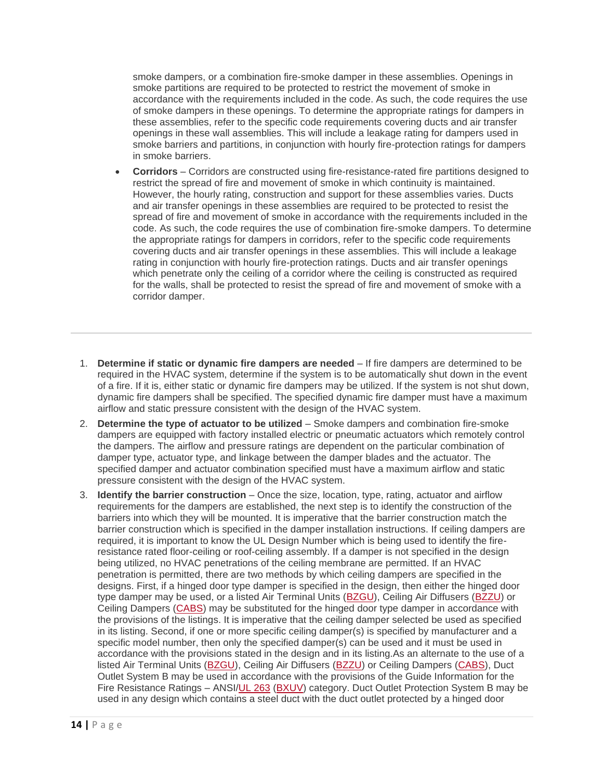smoke dampers, or a combination fire-smoke damper in these assemblies. Openings in smoke partitions are required to be protected to restrict the movement of smoke in accordance with the requirements included in the code. As such, the code requires the use of smoke dampers in these openings. To determine the appropriate ratings for dampers in these assemblies, refer to the specific code requirements covering ducts and air transfer openings in these wall assemblies. This will include a leakage rating for dampers used in smoke barriers and partitions, in conjunction with hourly fire-protection ratings for dampers in smoke barriers.

- **Corridors** Corridors are constructed using fire-resistance-rated fire partitions designed to restrict the spread of fire and movement of smoke in which continuity is maintained. However, the hourly rating, construction and support for these assemblies varies. Ducts and air transfer openings in these assemblies are required to be protected to resist the spread of fire and movement of smoke in accordance with the requirements included in the code. As such, the code requires the use of combination fire-smoke dampers. To determine the appropriate ratings for dampers in corridors, refer to the specific code requirements covering ducts and air transfer openings in these assemblies. This will include a leakage rating in conjunction with hourly fire-protection ratings. Ducts and air transfer openings which penetrate only the ceiling of a corridor where the ceiling is constructed as required for the walls, shall be protected to resist the spread of fire and movement of smoke with a corridor damper.
- 1. **Determine if static or dynamic fire dampers are needed** If fire dampers are determined to be required in the HVAC system, determine if the system is to be automatically shut down in the event of a fire. If it is, either static or dynamic fire dampers may be utilized. If the system is not shut down, dynamic fire dampers shall be specified. The specified dynamic fire damper must have a maximum airflow and static pressure consistent with the design of the HVAC system.
- 2. **Determine the type of actuator to be utilized** Smoke dampers and combination fire-smoke dampers are equipped with factory installed electric or pneumatic actuators which remotely control the dampers. The airflow and pressure ratings are dependent on the particular combination of damper type, actuator type, and linkage between the damper blades and the actuator. The specified damper and actuator combination specified must have a maximum airflow and static pressure consistent with the design of the HVAC system.
- 3. **Identify the barrier construction** Once the size, location, type, rating, actuator and airflow requirements for the dampers are established, the next step is to identify the construction of the barriers into which they will be mounted. It is imperative that the barrier construction match the barrier construction which is specified in the damper installation instructions. If ceiling dampers are required, it is important to know the UL Design Number which is being used to identify the fireresistance rated floor-ceiling or roof-ceiling assembly. If a damper is not specified in the design being utilized, no HVAC penetrations of the ceiling membrane are permitted. If an HVAC penetration is permitted, there are two methods by which ceiling dampers are specified in the designs. First, if a hinged door type damper is specified in the design, then either the hinged door type damper may be used, or a listed Air Terminal Units [\(BZGU\)](https://iq.ulprospector.com/en/profile?e=206802), Ceiling Air Diffusers [\(BZZU\)](https://iq.ulprospector.com/en/profile?e=206813) or Ceiling Dampers [\(CABS\)](https://iq.ulprospector.com/en/profile?e=206814) may be substituted for the hinged door type damper in accordance with the provisions of the listings. It is imperative that the ceiling damper selected be used as specified in its listing. Second, if one or more specific ceiling damper(s) is specified by manufacturer and a specific model number, then only the specified damper(s) can be used and it must be used in accordance with the provisions stated in the design and in its listing.As an alternate to the use of a listed Air Terminal Units [\(BZGU\)](https://iq.ulprospector.com/en/profile?e=206802), Ceiling Air Diffusers [\(BZZU\)](https://iq.ulprospector.com/en/profile?e=206813) or Ceiling Dampers [\(CABS\)](https://iq.ulprospector.com/en/profile?e=206814), Duct Outlet System B may be used in accordance with the provisions of the Guide Information for the Fire Resistance Ratings - ANSI[/UL 263](http://ulstandards.ul.com/standard/?id=263&edition=14&doctype=ulstd) [\(BXUV\)](https://iq.ulprospector.com/en/profile?e=206790) category. Duct Outlet Protection System B may be used in any design which contains a steel duct with the duct outlet protected by a hinged door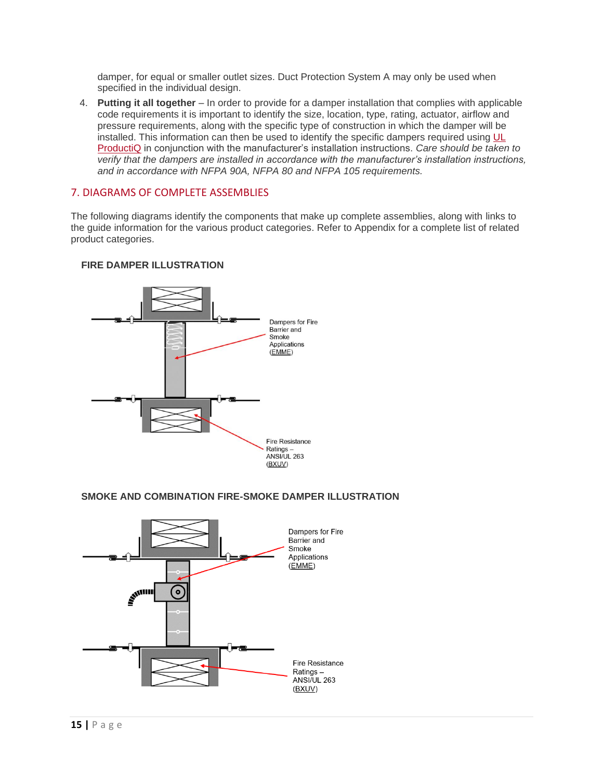damper, for equal or smaller outlet sizes. Duct Protection System A may only be used when specified in the individual design.

4. **Putting it all together** – In order to provide for a damper installation that complies with applicable code requirements it is important to identify the size, location, type, rating, actuator, airflow and pressure requirements, along with the specific type of construction in which the damper will be installed. This information can then be used to identify the specific dampers required using [UL](http://www.ul.com/piq)  [ProductiQ](http://www.ul.com/piq) in conjunction with the manufacturer's installation instructions. *Care should be taken to verify that the dampers are installed in accordance with the manufacturer's installation instructions, and in accordance with NFPA 90A, NFPA 80 and NFPA 105 requirements.*

# 7. DIAGRAMS OF COMPLETE ASSEMBLIES

The following diagrams identify the components that make up complete assemblies, along with links to the guide information for the various product categories. Refer to Appendix for a complete list of related product categories.



# **FIRE DAMPER ILLUSTRATION**

# **SMOKE AND COMBINATION FIRE-SMOKE DAMPER ILLUSTRATION**

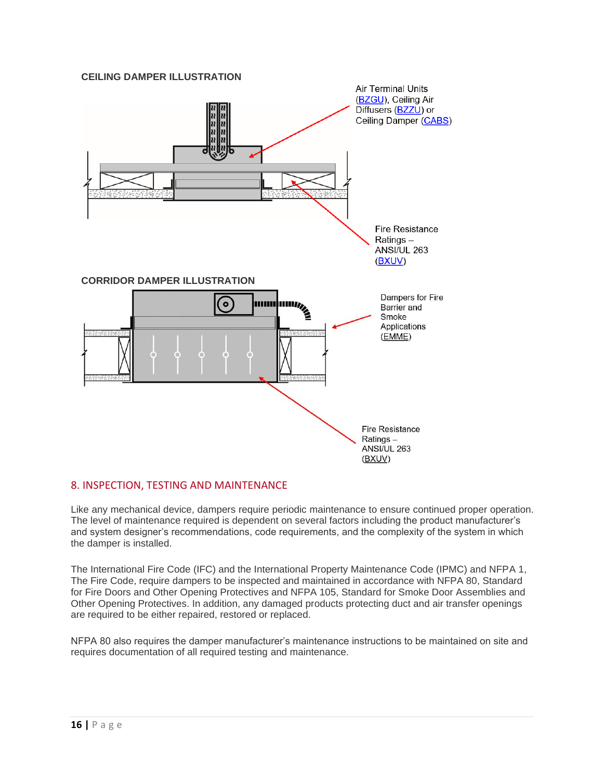# **CEILING DAMPER ILLUSTRATION**



#### 8. INSPECTION, TESTING AND MAINTENANCE

Like any mechanical device, dampers require periodic maintenance to ensure continued proper operation. The level of maintenance required is dependent on several factors including the product manufacturer's and system designer's recommendations, code requirements, and the complexity of the system in which the damper is installed.

The International Fire Code (IFC) and the International Property Maintenance Code (IPMC) and NFPA 1, The Fire Code, require dampers to be inspected and maintained in accordance with NFPA 80, Standard for Fire Doors and Other Opening Protectives and NFPA 105, Standard for Smoke Door Assemblies and Other Opening Protectives. In addition, any damaged products protecting duct and air transfer openings are required to be either repaired, restored or replaced.

NFPA 80 also requires the damper manufacturer's maintenance instructions to be maintained on site and requires documentation of all required testing and maintenance.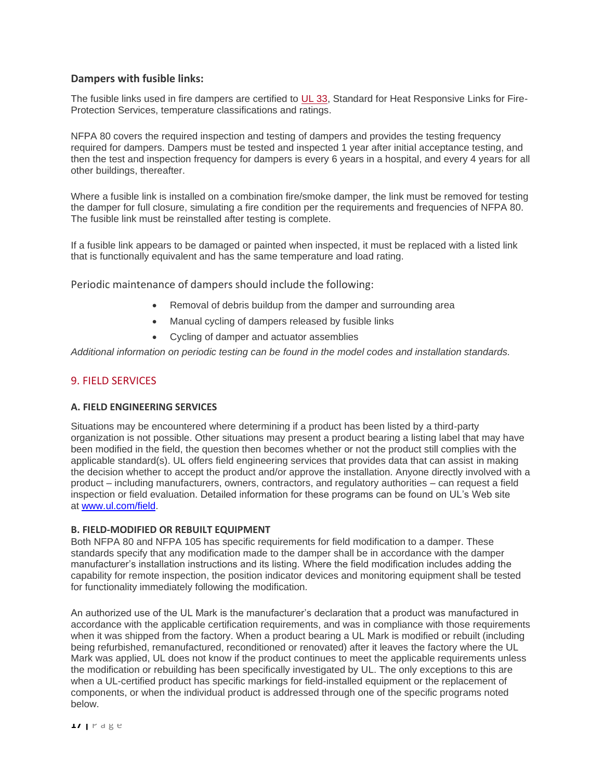# **Dampers with fusible links:**

The fusible links used in fire dampers are certified to [UL 33,](https://www.shopulstandards.com/ProductDetail.aspx?productId=UL33_9_S_20210621) Standard for Heat Responsive Links for Fire-Protection Services, temperature classifications and ratings.

NFPA 80 covers the required inspection and testing of dampers and provides the testing frequency required for dampers. Dampers must be tested and inspected 1 year after initial acceptance testing, and then the test and inspection frequency for dampers is every 6 years in a hospital, and every 4 years for all other buildings, thereafter.

Where a fusible link is installed on a combination fire/smoke damper, the link must be removed for testing the damper for full closure, simulating a fire condition per the requirements and frequencies of NFPA 80. The fusible link must be reinstalled after testing is complete.

If a fusible link appears to be damaged or painted when inspected, it must be replaced with a listed link that is functionally equivalent and has the same temperature and load rating.

Periodic maintenance of dampers should include the following:

- Removal of debris buildup from the damper and surrounding area
- Manual cycling of dampers released by fusible links
- Cycling of damper and actuator assemblies

*Additional information on periodic testing can be found in the model codes and installation standards.*

#### 9. FIELD SERVICES

#### **A. FIELD ENGINEERING SERVICES**

Situations may be encountered where determining if a product has been listed by a third-party organization is not possible. Other situations may present a product bearing a listing label that may have been modified in the field, the question then becomes whether or not the product still complies with the applicable standard(s). UL offers field engineering services that provides data that can assist in making the decision whether to accept the product and/or approve the installation. Anyone directly involved with a product – including manufacturers, owners, contractors, and regulatory authorities – can request a field inspection or field evaluation. Detailed information for these programs can be found on UL's Web site at [www.ul.com/field.](http://www.ul.com/field)

#### **B. FIELD-MODIFIED OR REBUILT EQUIPMENT**

Both NFPA 80 and NFPA 105 has specific requirements for field modification to a damper. These standards specify that any modification made to the damper shall be in accordance with the damper manufacturer's installation instructions and its listing. Where the field modification includes adding the capability for remote inspection, the position indicator devices and monitoring equipment shall be tested for functionality immediately following the modification.

An authorized use of the UL Mark is the manufacturer's declaration that a product was manufactured in accordance with the applicable certification requirements, and was in compliance with those requirements when it was shipped from the factory. When a product bearing a UL Mark is modified or rebuilt (including being refurbished, remanufactured, reconditioned or renovated) after it leaves the factory where the UL Mark was applied, UL does not know if the product continues to meet the applicable requirements unless the modification or rebuilding has been specifically investigated by UL. The only exceptions to this are when a UL-certified product has specific markings for field-installed equipment or the replacement of components, or when the individual product is addressed through one of the specific programs noted below.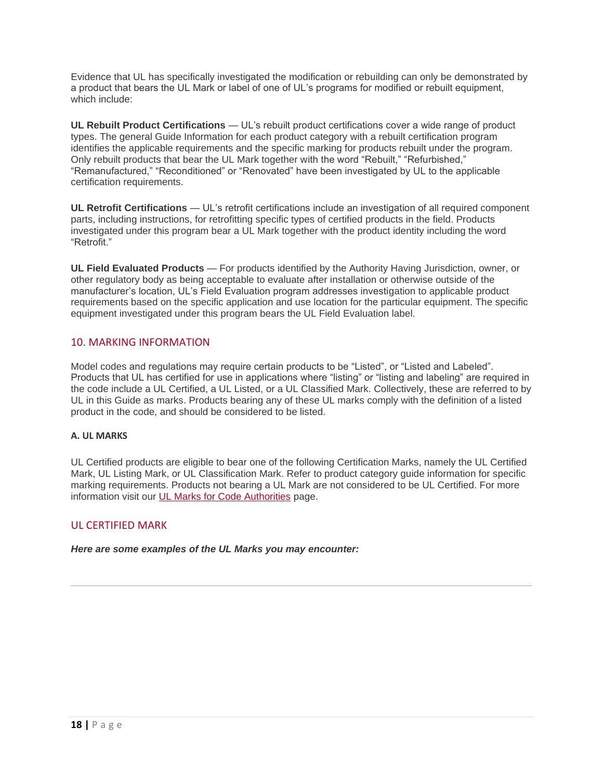Evidence that UL has specifically investigated the modification or rebuilding can only be demonstrated by a product that bears the UL Mark or label of one of UL's programs for modified or rebuilt equipment, which include:

**UL Rebuilt Product Certifications** — UL's rebuilt product certifications cover a wide range of product types. The general Guide Information for each product category with a rebuilt certification program identifies the applicable requirements and the specific marking for products rebuilt under the program. Only rebuilt products that bear the UL Mark together with the word "Rebuilt," "Refurbished," "Remanufactured," "Reconditioned" or "Renovated" have been investigated by UL to the applicable certification requirements.

**UL Retrofit Certifications** — UL's retrofit certifications include an investigation of all required component parts, including instructions, for retrofitting specific types of certified products in the field. Products investigated under this program bear a UL Mark together with the product identity including the word "Retrofit."

**UL Field Evaluated Products** — For products identified by the Authority Having Jurisdiction, owner, or other regulatory body as being acceptable to evaluate after installation or otherwise outside of the manufacturer's location, UL's Field Evaluation program addresses investigation to applicable product requirements based on the specific application and use location for the particular equipment. The specific equipment investigated under this program bears the UL Field Evaluation label.

# 10. MARKING INFORMATION

Model codes and regulations may reguire certain products to be "Listed", or "Listed and Labeled". Products that UL has certified for use in applications where "listing" or "listing and labeling" are required in the code include a UL Certified, a UL Listed, or a UL Classified Mark. Collectively, these are referred to by UL in this Guide as marks. Products bearing any of these UL marks comply with the definition of a listed product in the code, and should be considered to be listed.

# **A. UL MARKS**

UL Certified products are eligible to bear one of the following Certification Marks, namely the UL Certified Mark, UL Listing Mark, or UL Classification Mark. Refer to product category guide information for specific marking requirements. Products not bearing a UL Mark are not considered to be UL Certified. For more information visit our **[UL Marks for Code Authorities](https://code-authorities.ul.com/ulmarks/)** page.

# UL CERTIFIED MARK

*Here are some examples of the UL Marks you may encounter:*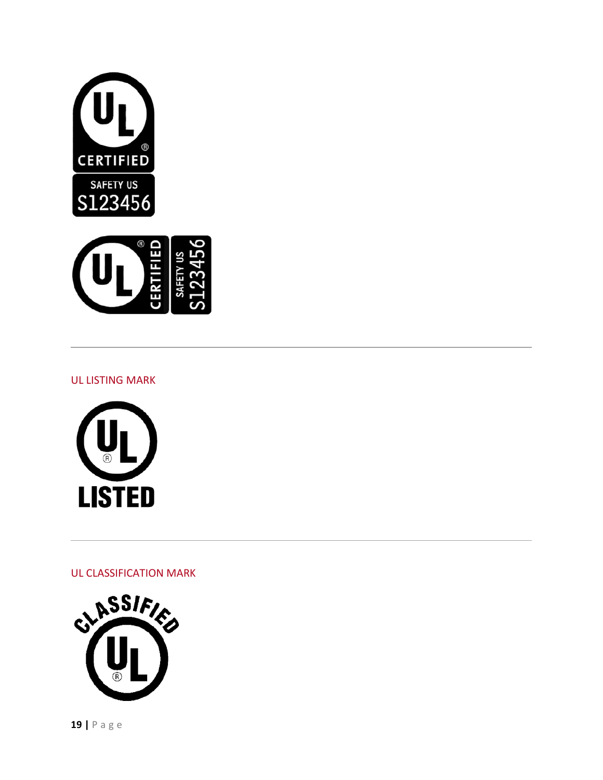



# UL LISTING MARK



UL CLASSIFICATION MARK

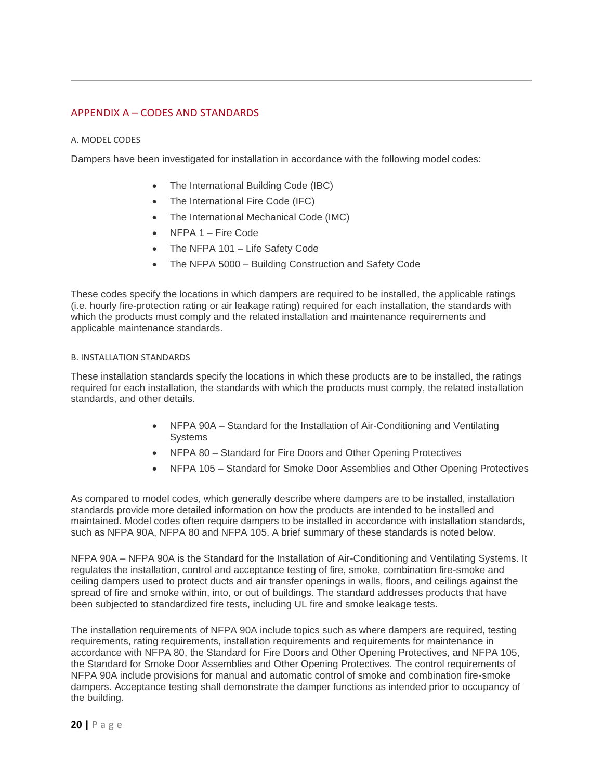# APPENDIX A – CODES AND STANDARDS

#### A. MODEL CODES

Dampers have been investigated for installation in accordance with the following model codes:

- The International Building Code (IBC)
- The International Fire Code (IFC)
- The International Mechanical Code (IMC)
- NFPA 1 Fire Code
- The NFPA 101 Life Safety Code
- The NFPA 5000 Building Construction and Safety Code

These codes specify the locations in which dampers are required to be installed, the applicable ratings (i.e. hourly fire-protection rating or air leakage rating) required for each installation, the standards with which the products must comply and the related installation and maintenance requirements and applicable maintenance standards.

#### B. INSTALLATION STANDARDS

These installation standards specify the locations in which these products are to be installed, the ratings required for each installation, the standards with which the products must comply, the related installation standards, and other details.

- NFPA 90A Standard for the Installation of Air-Conditioning and Ventilating Systems
- NFPA 80 Standard for Fire Doors and Other Opening Protectives
- NFPA 105 Standard for Smoke Door Assemblies and Other Opening Protectives

As compared to model codes, which generally describe where dampers are to be installed, installation standards provide more detailed information on how the products are intended to be installed and maintained. Model codes often require dampers to be installed in accordance with installation standards, such as NFPA 90A, NFPA 80 and NFPA 105. A brief summary of these standards is noted below.

NFPA 90A – NFPA 90A is the Standard for the Installation of Air-Conditioning and Ventilating Systems. It regulates the installation, control and acceptance testing of fire, smoke, combination fire-smoke and ceiling dampers used to protect ducts and air transfer openings in walls, floors, and ceilings against the spread of fire and smoke within, into, or out of buildings. The standard addresses products that have been subjected to standardized fire tests, including UL fire and smoke leakage tests.

The installation requirements of NFPA 90A include topics such as where dampers are required, testing requirements, rating requirements, installation requirements and requirements for maintenance in accordance with NFPA 80, the Standard for Fire Doors and Other Opening Protectives, and NFPA 105, the Standard for Smoke Door Assemblies and Other Opening Protectives. The control requirements of NFPA 90A include provisions for manual and automatic control of smoke and combination fire-smoke dampers. Acceptance testing shall demonstrate the damper functions as intended prior to occupancy of the building.